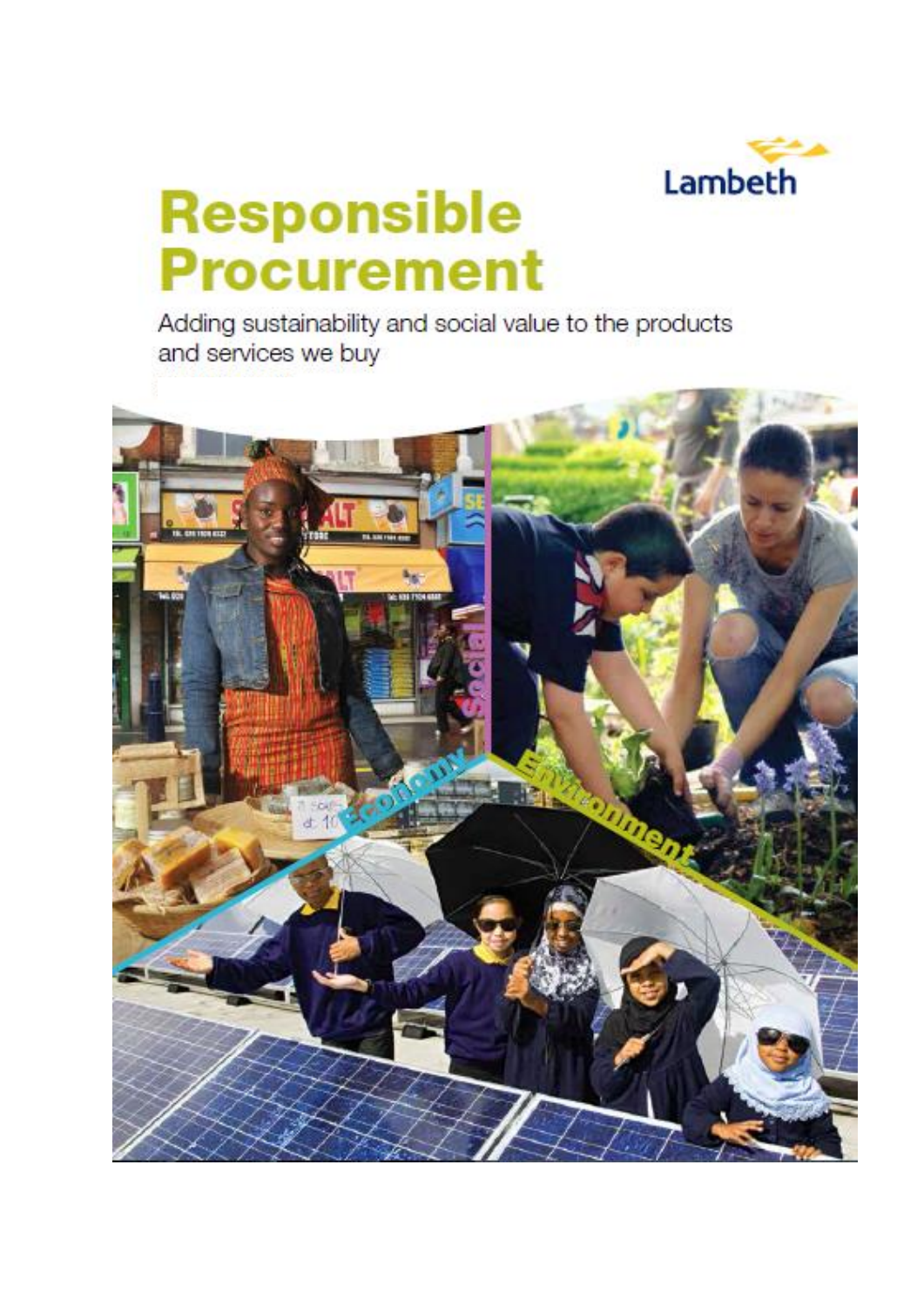

# **Responsible Procurement**

Adding sustainability and social value to the products and services we buy

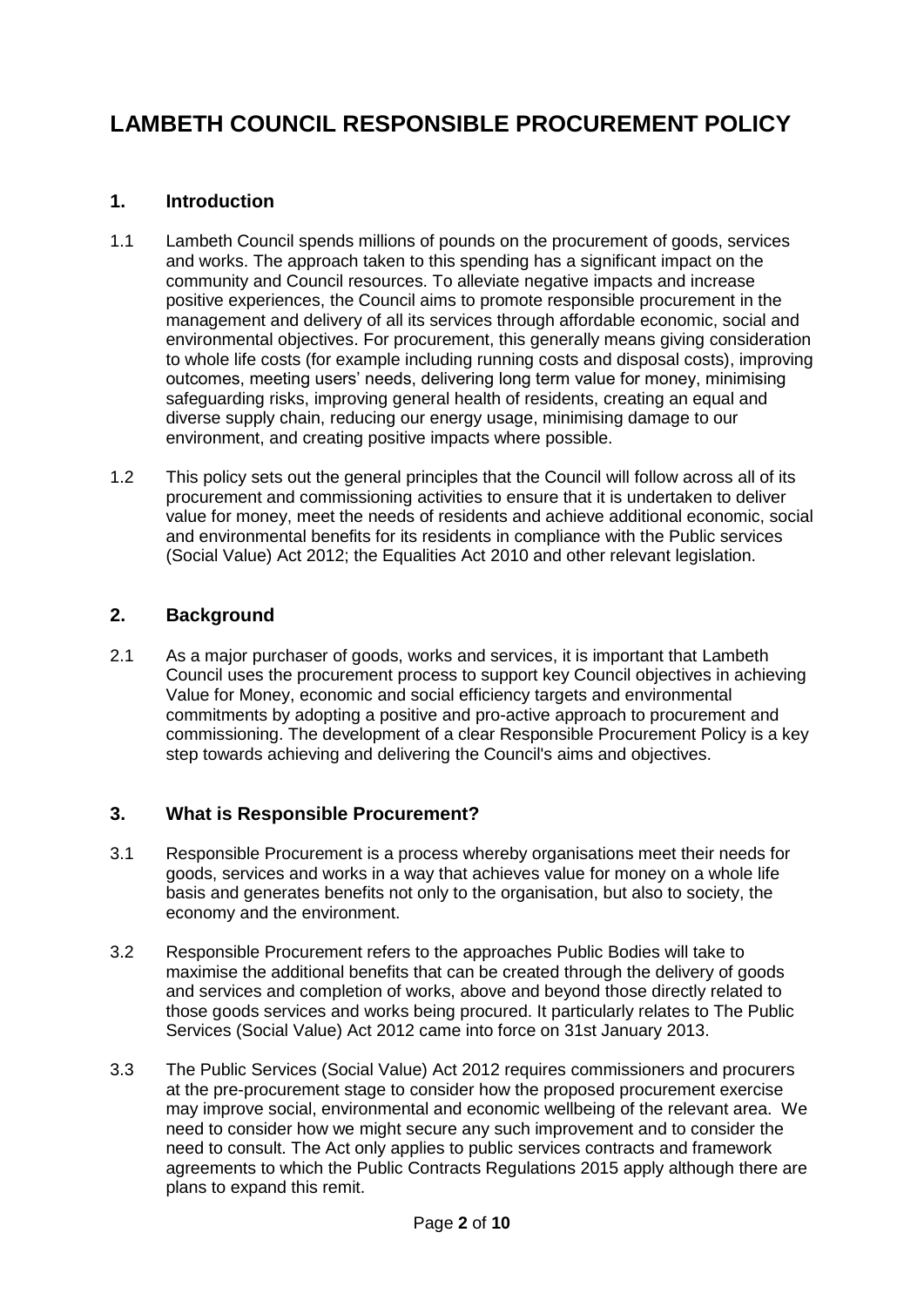## **LAMBETH COUNCIL RESPONSIBLE PROCUREMENT POLICY**

### **1. Introduction**

- 1.1 Lambeth Council spends millions of pounds on the procurement of goods, services and works. The approach taken to this spending has a significant impact on the community and Council resources. To alleviate negative impacts and increase positive experiences, the Council aims to promote responsible procurement in the management and delivery of all its services through affordable economic, social and environmental objectives. For procurement, this generally means giving consideration to whole life costs (for example including running costs and disposal costs), improving outcomes, meeting users' needs, delivering long term value for money, minimising safeguarding risks, improving general health of residents, creating an equal and diverse supply chain, reducing our energy usage, minimising damage to our environment, and creating positive impacts where possible.
- 1.2 This policy sets out the general principles that the Council will follow across all of its procurement and commissioning activities to ensure that it is undertaken to deliver value for money, meet the needs of residents and achieve additional economic, social and environmental benefits for its residents in compliance with the Public services (Social Value) Act 2012; the Equalities Act 2010 and other relevant legislation.

#### **2. Background**

2.1 As a major purchaser of goods, works and services, it is important that Lambeth Council uses the procurement process to support key Council objectives in achieving Value for Money, economic and social efficiency targets and environmental commitments by adopting a positive and pro-active approach to procurement and commissioning. The development of a clear Responsible Procurement Policy is a key step towards achieving and delivering the Council's aims and objectives.

#### **3. What is Responsible Procurement?**

- 3.1 Responsible Procurement is a process whereby organisations meet their needs for goods, services and works in a way that achieves value for money on a whole life basis and generates benefits not only to the organisation, but also to society, the economy and the environment.
- 3.2 Responsible Procurement refers to the approaches Public Bodies will take to maximise the additional benefits that can be created through the delivery of goods and services and completion of works, above and beyond those directly related to those goods services and works being procured. It particularly relates to The Public Services (Social Value) Act 2012 came into force on 31st January 2013.
- 3.3 The Public Services (Social Value) Act 2012 requires commissioners and procurers at the pre-procurement stage to consider how the proposed procurement exercise may improve social, environmental and economic wellbeing of the relevant area. We need to consider how we might secure any such improvement and to consider the need to consult. The Act only applies to public services contracts and framework agreements to which the Public Contracts Regulations 2015 apply although there are plans to expand this remit.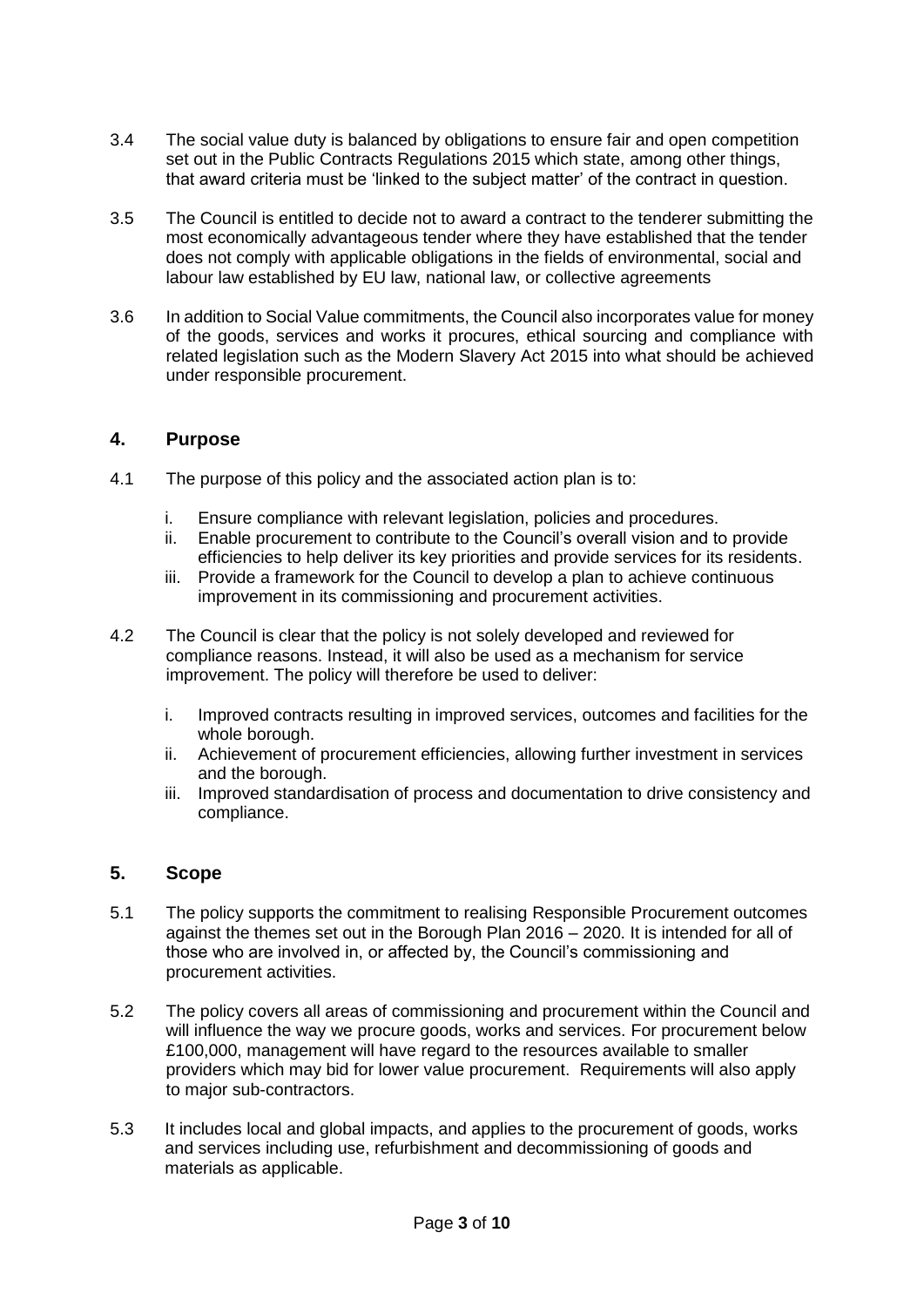- 3.4 The social value duty is balanced by obligations to ensure fair and open competition set out in the Public Contracts Regulations 2015 which state, among other things, that award criteria must be 'linked to the subject matter' of the contract in question.
- 3.5 The Council is entitled to decide not to award a contract to the tenderer submitting the most economically advantageous tender where they have established that the tender does not comply with applicable obligations in the fields of environmental, social and labour law established by EU law, national law, or collective agreements
- 3.6 In addition to Social Value commitments, the Council also incorporates value for money of the goods, services and works it procures, ethical sourcing and compliance with related legislation such as the Modern Slavery Act 2015 into what should be achieved under responsible procurement.

#### **4. Purpose**

- 4.1 The purpose of this policy and the associated action plan is to:
	- i. Ensure compliance with relevant legislation, policies and procedures.
	- ii. Enable procurement to contribute to the Council's overall vision and to provide efficiencies to help deliver its key priorities and provide services for its residents.
	- iii. Provide a framework for the Council to develop a plan to achieve continuous improvement in its commissioning and procurement activities.
- 4.2 The Council is clear that the policy is not solely developed and reviewed for compliance reasons. Instead, it will also be used as a mechanism for service improvement. The policy will therefore be used to deliver:
	- i. Improved contracts resulting in improved services, outcomes and facilities for the whole borough.
	- ii. Achievement of procurement efficiencies, allowing further investment in services and the borough.
	- iii. Improved standardisation of process and documentation to drive consistency and compliance.

#### **5. Scope**

- 5.1 The policy supports the commitment to realising Responsible Procurement outcomes against the themes set out in the Borough Plan 2016 – 2020. It is intended for all of those who are involved in, or affected by, the Council's commissioning and procurement activities.
- 5.2 The policy covers all areas of commissioning and procurement within the Council and will influence the way we procure goods, works and services. For procurement below £100,000, management will have regard to the resources available to smaller providers which may bid for lower value procurement. Requirements will also apply to major sub-contractors.
- 5.3 It includes local and global impacts, and applies to the procurement of goods, works and services including use, refurbishment and decommissioning of goods and materials as applicable.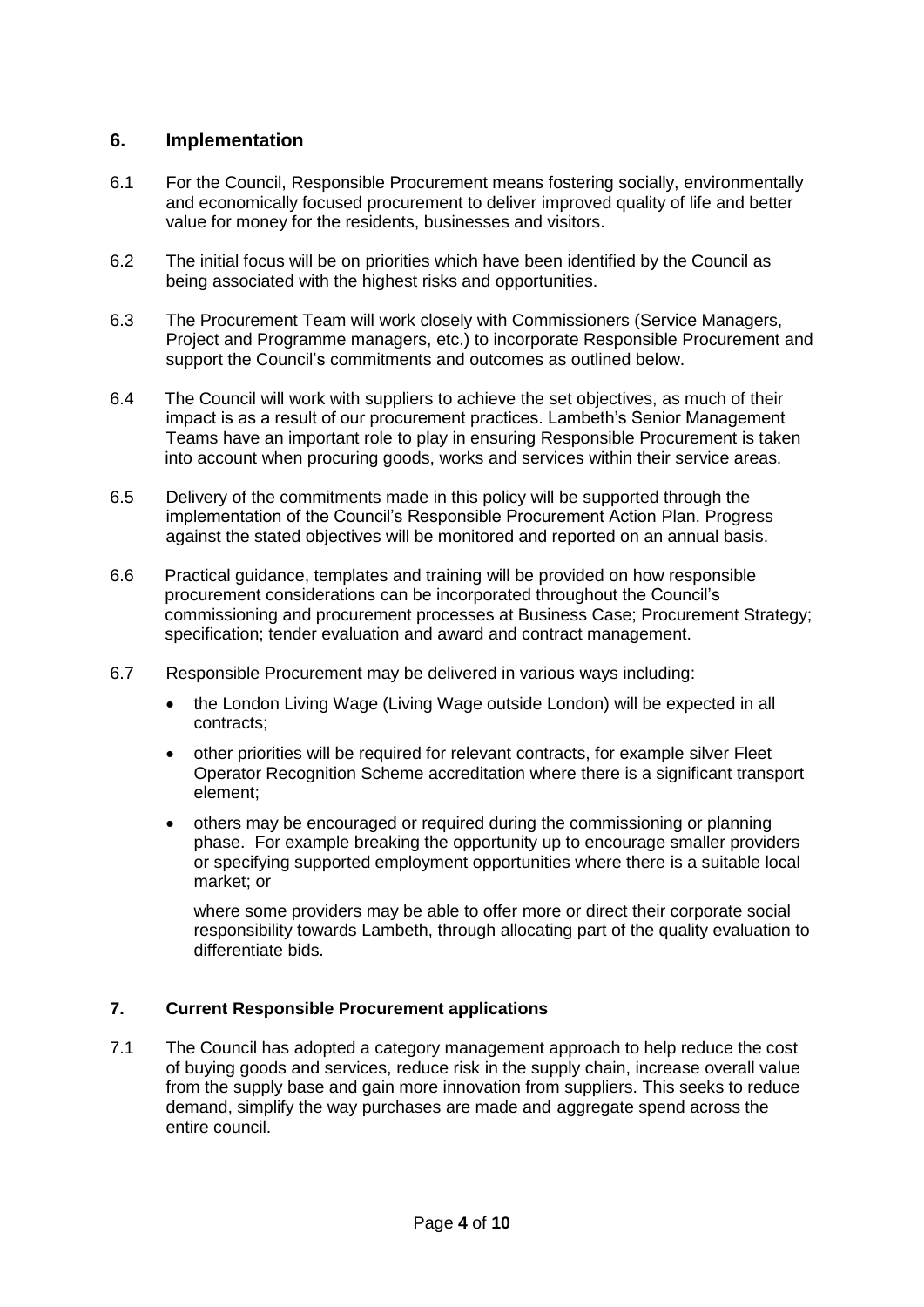#### **6. Implementation**

- 6.1 For the Council, Responsible Procurement means fostering socially, environmentally and economically focused procurement to deliver improved quality of life and better value for money for the residents, businesses and visitors.
- 6.2 The initial focus will be on priorities which have been identified by the Council as being associated with the highest risks and opportunities.
- 6.3 The Procurement Team will work closely with Commissioners (Service Managers, Project and Programme managers, etc.) to incorporate Responsible Procurement and support the Council's commitments and outcomes as outlined below.
- 6.4 The Council will work with suppliers to achieve the set objectives, as much of their impact is as a result of our procurement practices. Lambeth's Senior Management Teams have an important role to play in ensuring Responsible Procurement is taken into account when procuring goods, works and services within their service areas.
- 6.5 Delivery of the commitments made in this policy will be supported through the implementation of the Council's Responsible Procurement Action Plan. Progress against the stated objectives will be monitored and reported on an annual basis.
- 6.6 Practical guidance, templates and training will be provided on how responsible procurement considerations can be incorporated throughout the Council's commissioning and procurement processes at Business Case; Procurement Strategy; specification; tender evaluation and award and contract management.
- 6.7 Responsible Procurement may be delivered in various ways including:
	- the London Living Wage (Living Wage outside London) will be expected in all contracts;
	- other priorities will be required for relevant contracts, for example silver Fleet Operator Recognition Scheme accreditation where there is a significant transport element;
	- others may be encouraged or required during the commissioning or planning phase. For example breaking the opportunity up to encourage smaller providers or specifying supported employment opportunities where there is a suitable local market; or

where some providers may be able to offer more or direct their corporate social responsibility towards Lambeth, through allocating part of the quality evaluation to differentiate bids.

#### **7. Current Responsible Procurement applications**

7.1 The Council has adopted a category management approach to help reduce the cost of buying goods and services, reduce risk in the supply chain, increase overall value from the supply base and gain more innovation from suppliers. This seeks to reduce demand, simplify the way purchases are made and aggregate spend across the entire council.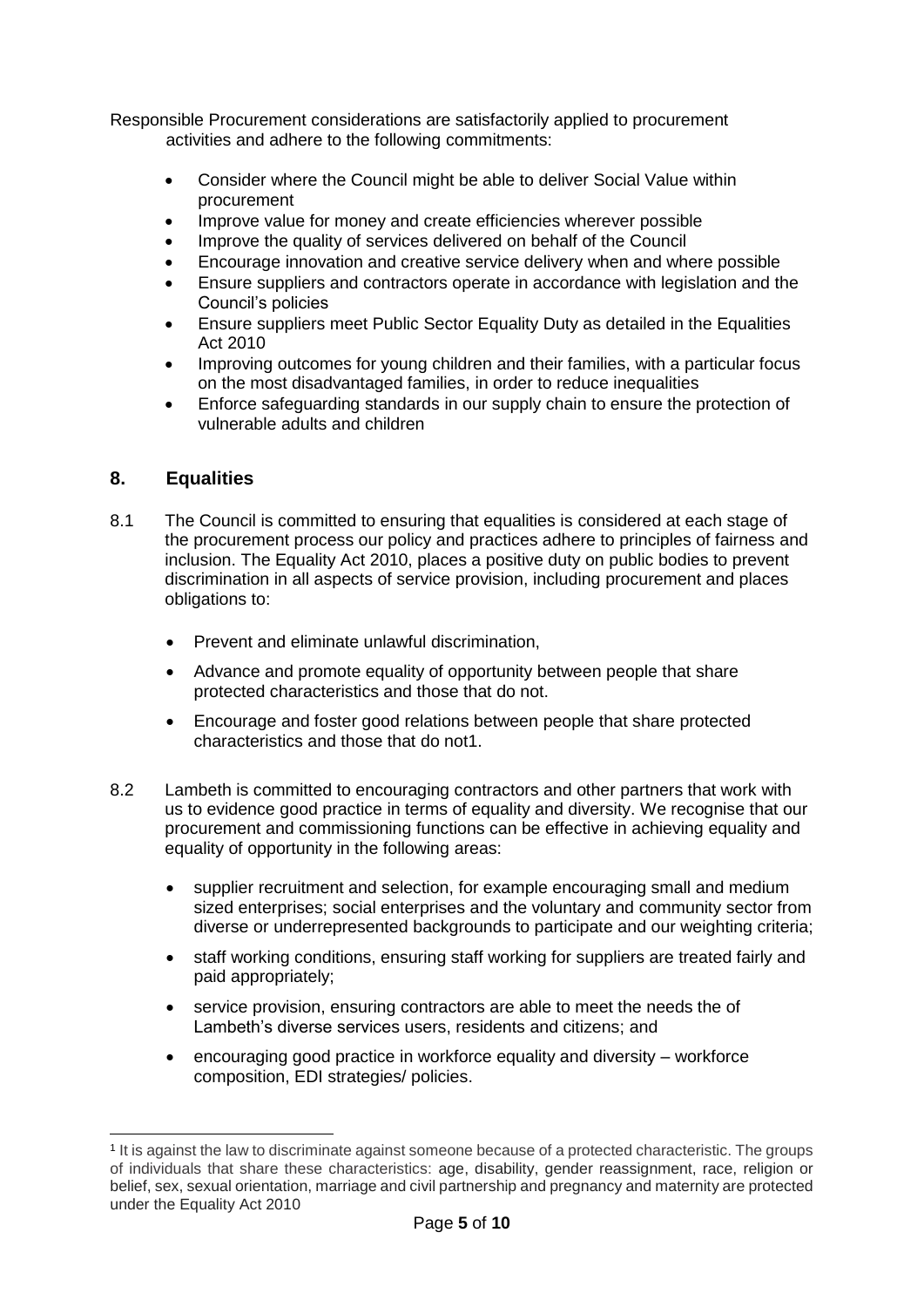Responsible Procurement considerations are satisfactorily applied to procurement activities and adhere to the following commitments:

- Consider where the Council might be able to deliver Social Value within procurement
- Improve value for money and create efficiencies wherever possible
- Improve the quality of services delivered on behalf of the Council
- Encourage innovation and creative service delivery when and where possible
- Ensure suppliers and contractors operate in accordance with legislation and the Council's policies
- Ensure suppliers meet Public Sector Equality Duty as detailed in the Equalities Act 2010
- Improving outcomes for young children and their families, with a particular focus on the most disadvantaged families, in order to reduce inequalities
- Enforce safeguarding standards in our supply chain to ensure the protection of vulnerable adults and children

#### **8. Equalities**

- 8.1 The Council is committed to ensuring that equalities is considered at each stage of the procurement process our policy and practices adhere to principles of fairness and inclusion. The Equality Act 2010, places a positive duty on public bodies to prevent discrimination in all aspects of service provision, including procurement and places obligations to:
	- Prevent and eliminate unlawful discrimination,
	- Advance and promote equality of opportunity between people that share protected characteristics and those that do not.
	- Encourage and foster good relations between people that share protected characteristics and those that do not1.
- 8.2 Lambeth is committed to encouraging contractors and other partners that work with us to evidence good practice in terms of equality and diversity. We recognise that our procurement and commissioning functions can be effective in achieving equality and equality of opportunity in the following areas:
	- supplier recruitment and selection, for example encouraging small and medium sized enterprises; social enterprises and the voluntary and community sector from diverse or underrepresented backgrounds to participate and our weighting criteria;
	- staff working conditions, ensuring staff working for suppliers are treated fairly and paid appropriately;
	- service provision, ensuring contractors are able to meet the needs the of Lambeth's diverse services users, residents and citizens; and
	- encouraging good practice in workforce equality and diversity workforce composition, EDI strategies/ policies.

<sup>1</sup> It is against the law to discriminate against someone because of a protected characteristic. The groups of individuals that share these characteristics: age, disability, gender reassignment, race, religion or belief, sex, sexual orientation, marriage and civil partnership and pregnancy and maternity are protected under the Equality Act 2010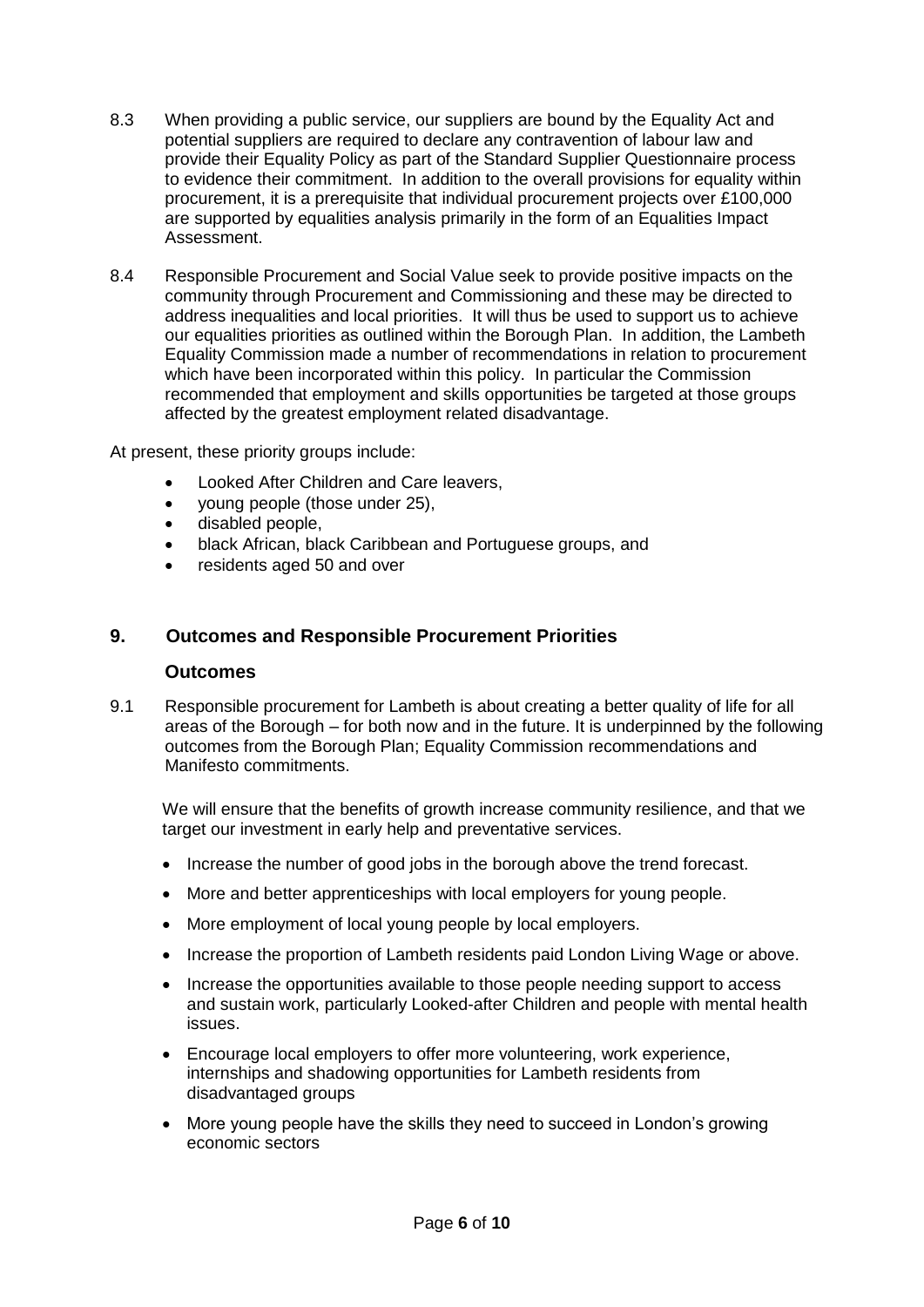- 8.3 When providing a public service, our suppliers are bound by the Equality Act and potential suppliers are required to declare any contravention of labour law and provide their Equality Policy as part of the Standard Supplier Questionnaire process to evidence their commitment. In addition to the overall provisions for equality within procurement, it is a prerequisite that individual procurement projects over £100,000 are supported by equalities analysis primarily in the form of an Equalities Impact Assessment.
- 8.4 Responsible Procurement and Social Value seek to provide positive impacts on the community through Procurement and Commissioning and these may be directed to address inequalities and local priorities. It will thus be used to support us to achieve our equalities priorities as outlined within the Borough Plan. In addition, the Lambeth Equality Commission made a number of recommendations in relation to procurement which have been incorporated within this policy. In particular the Commission recommended that employment and skills opportunities be targeted at those groups affected by the greatest employment related disadvantage.

At present, these priority groups include:

- Looked After Children and Care leavers,
- young people (those under 25),
- disabled people,
- black African, black Caribbean and Portuguese groups, and
- residents aged 50 and over

#### **9. Outcomes and Responsible Procurement Priorities**

#### **Outcomes**

9.1 Responsible procurement for Lambeth is about creating a better quality of life for all areas of the Borough – for both now and in the future. It is underpinned by the following outcomes from the Borough Plan; Equality Commission recommendations and Manifesto commitments.

We will ensure that the benefits of growth increase community resilience, and that we target our investment in early help and preventative services.

- Increase the number of good jobs in the borough above the trend forecast.
- More and better apprenticeships with local employers for young people.
- More employment of local young people by local employers.
- Increase the proportion of Lambeth residents paid London Living Wage or above.
- Increase the opportunities available to those people needing support to access and sustain work, particularly Looked-after Children and people with mental health issues.
- Encourage local employers to offer more volunteering, work experience, internships and shadowing opportunities for Lambeth residents from disadvantaged groups
- More young people have the skills they need to succeed in London's growing economic sectors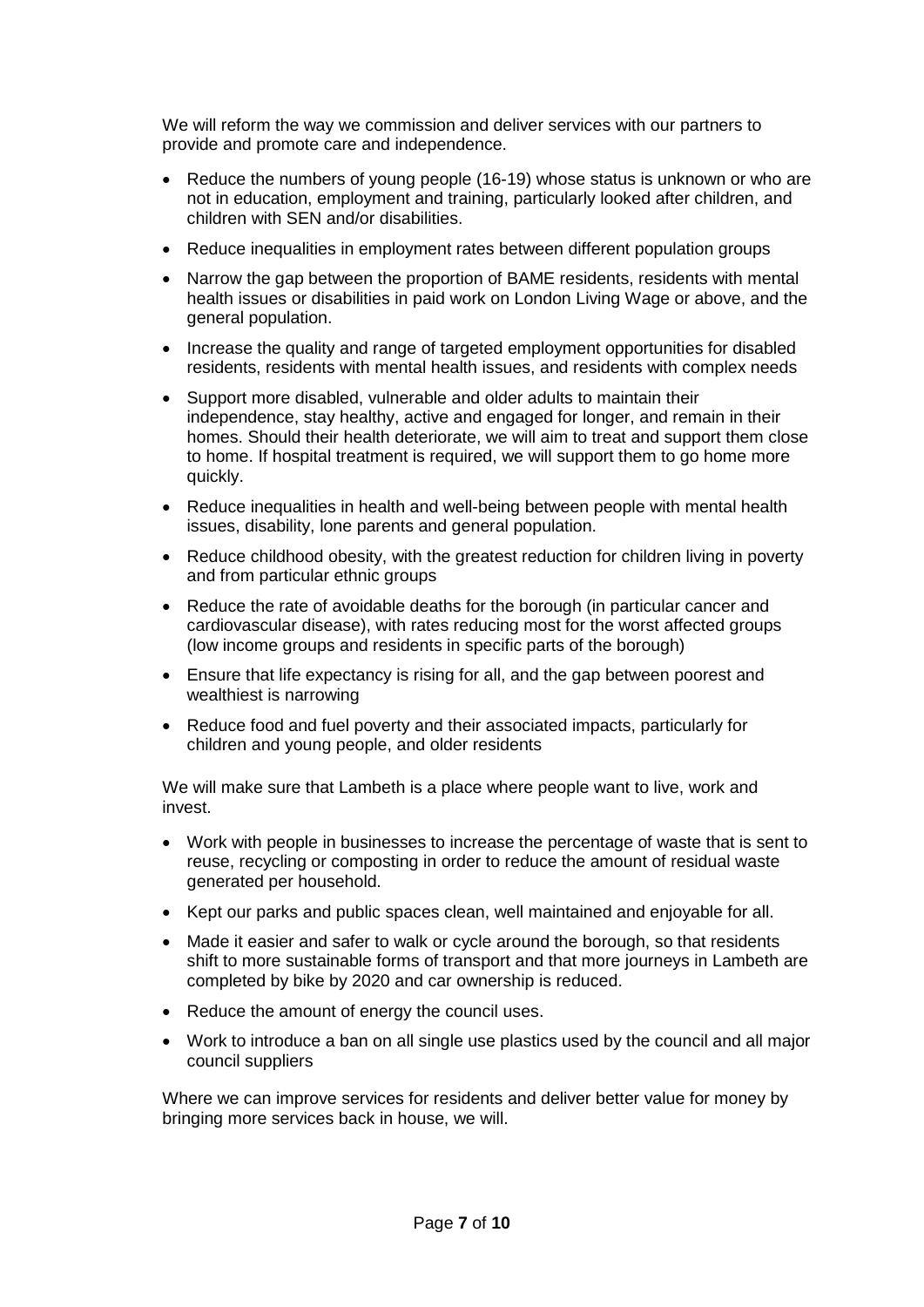We will reform the way we commission and deliver services with our partners to provide and promote care and independence.

- Reduce the numbers of young people (16-19) whose status is unknown or who are not in education, employment and training, particularly looked after children, and children with SEN and/or disabilities.
- Reduce inequalities in employment rates between different population groups
- Narrow the gap between the proportion of BAME residents, residents with mental health issues or disabilities in paid work on London Living Wage or above, and the general population.
- Increase the quality and range of targeted employment opportunities for disabled residents, residents with mental health issues, and residents with complex needs
- Support more disabled, vulnerable and older adults to maintain their independence, stay healthy, active and engaged for longer, and remain in their homes. Should their health deteriorate, we will aim to treat and support them close to home. If hospital treatment is required, we will support them to go home more quickly.
- Reduce inequalities in health and well-being between people with mental health issues, disability, lone parents and general population.
- Reduce childhood obesity, with the greatest reduction for children living in poverty and from particular ethnic groups
- Reduce the rate of avoidable deaths for the borough (in particular cancer and cardiovascular disease), with rates reducing most for the worst affected groups (low income groups and residents in specific parts of the borough)
- Ensure that life expectancy is rising for all, and the gap between poorest and wealthiest is narrowing
- Reduce food and fuel poverty and their associated impacts, particularly for children and young people, and older residents

We will make sure that Lambeth is a place where people want to live, work and invest.

- Work with people in businesses to increase the percentage of waste that is sent to reuse, recycling or composting in order to reduce the amount of residual waste generated per household.
- Kept our parks and public spaces clean, well maintained and enjoyable for all.
- Made it easier and safer to walk or cycle around the borough, so that residents shift to more sustainable forms of transport and that more journeys in Lambeth are completed by bike by 2020 and car ownership is reduced.
- Reduce the amount of energy the council uses.
- Work to introduce a ban on all single use plastics used by the council and all major council suppliers

Where we can improve services for residents and deliver better value for money by bringing more services back in house, we will.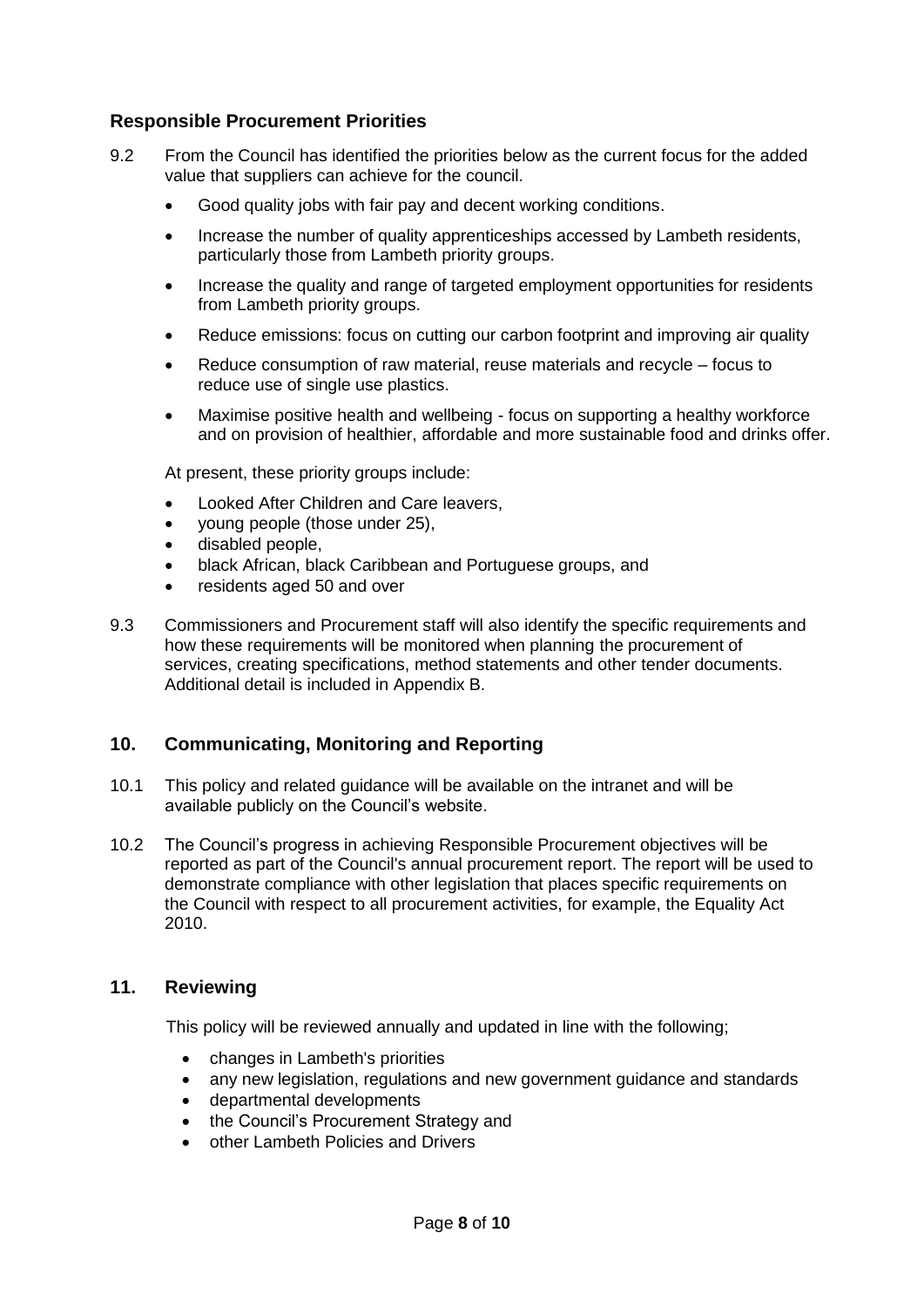#### **Responsible Procurement Priorities**

- 9.2 From the Council has identified the priorities below as the current focus for the added value that suppliers can achieve for the council.
	- Good quality jobs with fair pay and decent working conditions.
	- Increase the number of quality apprenticeships accessed by Lambeth residents, particularly those from Lambeth priority groups.
	- Increase the quality and range of targeted employment opportunities for residents from Lambeth priority groups.
	- Reduce emissions: focus on cutting our carbon footprint and improving air quality
	- Reduce consumption of raw material, reuse materials and recycle focus to reduce use of single use plastics.
	- Maximise positive health and wellbeing focus on supporting a healthy workforce and on provision of healthier, affordable and more sustainable food and drinks offer.

At present, these priority groups include:

- Looked After Children and Care leavers,
- young people (those under 25),
- disabled people,
- black African, black Caribbean and Portuguese groups, and
- residents aged 50 and over
- 9.3 Commissioners and Procurement staff will also identify the specific requirements and how these requirements will be monitored when planning the procurement of services, creating specifications, method statements and other tender documents. Additional detail is included in Appendix B.

#### **10. Communicating, Monitoring and Reporting**

- 10.1 This policy and related guidance will be available on the intranet and will be available publicly on the Council's website.
- 10.2 The Council's progress in achieving Responsible Procurement objectives will be reported as part of the Council's annual procurement report. The report will be used to demonstrate compliance with other legislation that places specific requirements on the Council with respect to all procurement activities, for example, the Equality Act 2010.

#### **11. Reviewing**

This policy will be reviewed annually and updated in line with the following;

- changes in Lambeth's priorities
- any new legislation, regulations and new government guidance and standards
- departmental developments
- the Council's Procurement Strategy and
- other Lambeth Policies and Drivers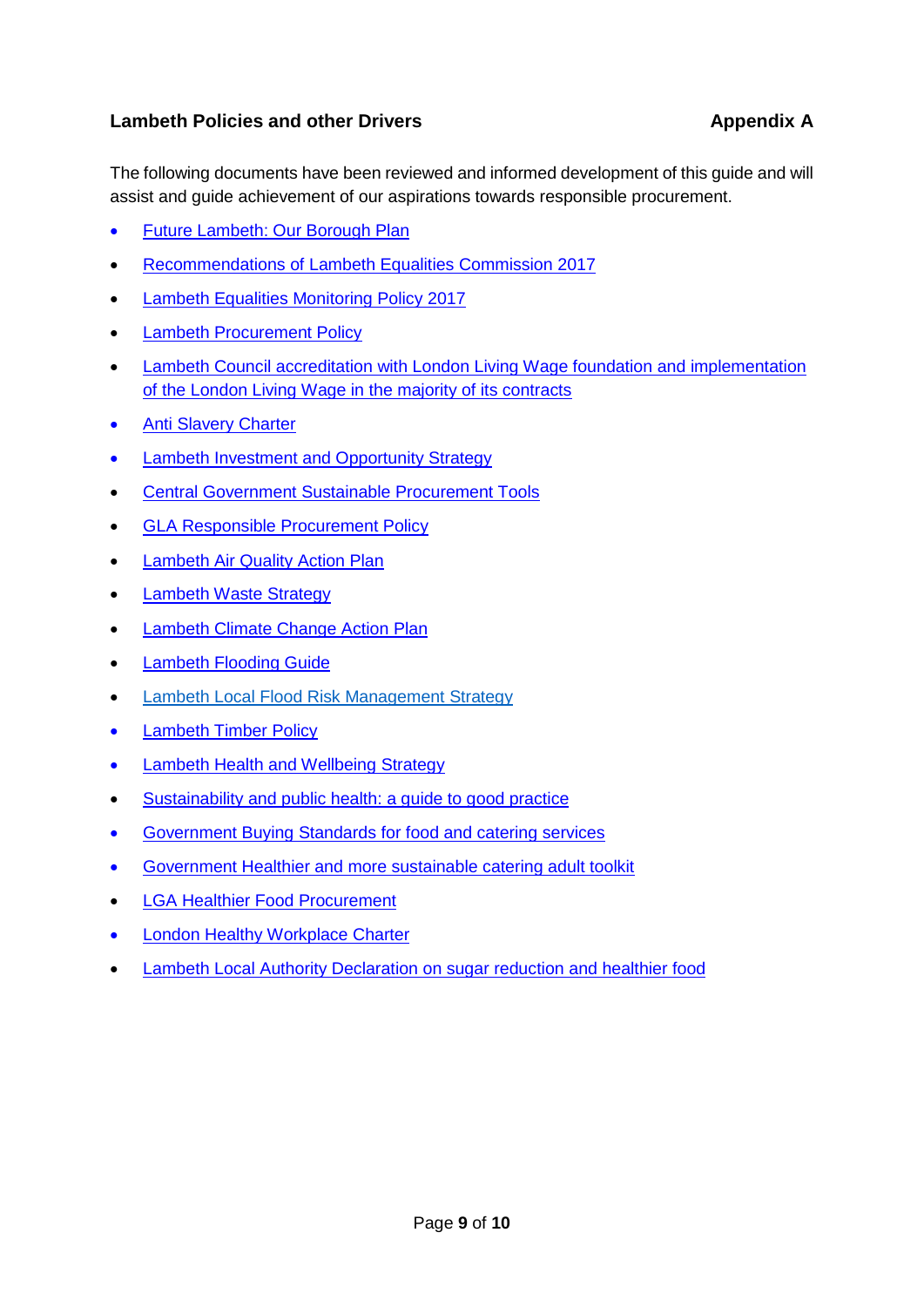### **Lambeth Policies and other Drivers Appendix A** Appendix A

The following documents have been reviewed and informed development of this guide and will assist and guide achievement of our aspirations towards responsible procurement.

- [Future Lambeth: Our Borough Plan](https://www.lambeth.gov.uk/sites/default/files/ec-the-borough-plan_0.pdf)
- [Recommendations of Lambeth Equalities Commission 2017](https://www.lambeth.gov.uk/sites/default/files/Equality-Commission-Report-and-Recommendations-2017.pdf)
- [Lambeth Equalities Monitoring Policy](https://www.lambeth.gov.uk/sites/default/files/ec-lambeth-equality-monitoring-policy-nov-2017.pdf) 2017
- [Lambeth Procurement Policy](https://lambeth.sharepoint.com/teams/hub01/procurement/Media/Procurement%20Policy%202016-2020.docx)
- [Lambeth Council accreditation with London Living Wage foundation and implementation](http://love.lambeth.gov.uk/supporting-london-living-wage/)  [of the London Living Wage in the majority of its contracts](http://love.lambeth.gov.uk/supporting-london-living-wage/)
- [Anti Slavery Charter](https://party.coop/local/councillors/modern-slavery-charter/)
- [Lambeth Investment and Opportunity Strategy](https://moderngov.lambeth.gov.uk/documents/s74453/20150520%20IO%20Strategy%20Cabinet%20Report.pdf)
- [Central Government Sustainable Procurement Tools](https://www.gov.uk/guidance/sustainable-procurement-tools)
- [GLA Responsible Procurement Policy](https://www.london.gov.uk/sites/default/files/gla_group_rpp_v7.12_final_template_for_web.pdf)
- [Lambeth Air Quality Action Plan](http://www.lambeth.gov.uk/AQAP)
- [Lambeth Waste Strategy](https://www.lambeth.gov.uk/sites/default/files/rr-lambeth-waste-strategy-baseline-report.pdf)
- [Lambeth Climate Change Action Plan](https://www.lambeth.gov.uk/community-safety-and-anti-social-behaviour/pollution-and-climate-change/lambeth-air-quality-action)
- [Lambeth Flooding Guide](https://www.lambeth.gov.uk/parking-transport-and-streets/streets-and-roads/flooding-guide)
- [Lambeth Local Flood Risk Management Strategy](https://www.lambeth.gov.uk/parking-transport-and-streets/streets-and-roads/flooding-guide)
- [Lambeth Timber Policy](http://www.lambeth.gov.uk/sites/default/files/lsp-timber-policy-2011.pdf)
- Lambeth Health and Wellbeing Strategy
- [Sustainability and public health: a guide to good practice](https://www.gov.uk/government/collections/sustainability-and-public-health-a-guide-to-good-practice)
- [Government Buying Standards for food and catering services](https://www.gov.uk/government/collections/sustainable-procurement-the-government-buying-standards-gbs)
- [Government Healthier and more sustainable catering adult toolkit](https://assets.publishing.service.gov.uk/government/uploads/system/uploads/attachment_data/file/648743/healthier_and_more_sustainable_catering_adult_toolkit.pdf)
- [LGA Healthier Food Procurement](https://www.local.gov.uk/healthier-food-procurement)
- [London Healthy Workplace Charter](https://www.london.gov.uk/what-we-do/health/healthy-workplace-charter)
- [Lambeth Local Authority Declaration on sugar reduction and healthier food](https://www.sustainweb.org/londonfoodlink/declaration/)